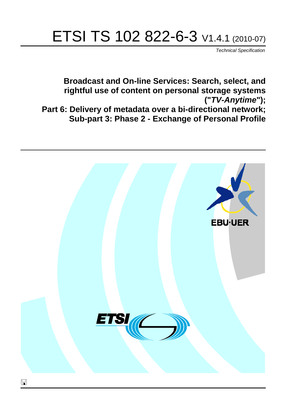# ETSI TS 102 822-6-3 V1.4.1 (2010-07)

*Technical Specification*

**Broadcast and On-line Services: Search, select, and rightful use of content on personal storage systems ("***TV-Anytime***"); Part 6: Delivery of metadata over a bi-directional network; Sub-part 3: Phase 2 - Exchange of Personal Profile**

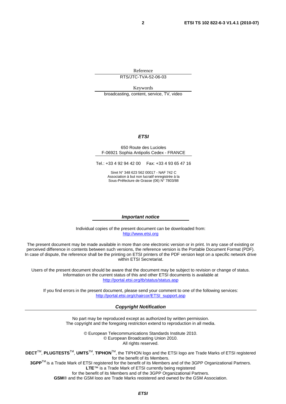Reference

RTS/JTC-TVA-52-06-03

Keywords broadcasting, content, service, TV, video

#### *ETSI*

#### 650 Route des Lucioles F-06921 Sophia Antipolis Cedex - FRANCE

Tel.: +33 4 92 94 42 00 Fax: +33 4 93 65 47 16

Siret N° 348 623 562 00017 - NAF 742 C Association à but non lucratif enregistrée à la Sous-Préfecture de Grasse (06) N° 7803/88

#### *Important notice*

Individual copies of the present document can be downloaded from: [http://www.etsi.org](http://www.etsi.org/)

The present document may be made available in more than one electronic version or in print. In any case of existing or perceived difference in contents between such versions, the reference version is the Portable Document Format (PDF). In case of dispute, the reference shall be the printing on ETSI printers of the PDF version kept on a specific network drive within ETSI Secretariat.

Users of the present document should be aware that the document may be subject to revision or change of status. Information on the current status of this and other ETSI documents is available at <http://portal.etsi.org/tb/status/status.asp>

If you find errors in the present document, please send your comment to one of the following services: [http://portal.etsi.org/chaircor/ETSI\\_support.asp](http://portal.etsi.org/chaircor/ETSI_support.asp)

#### *Copyright Notification*

No part may be reproduced except as authorized by written permission. The copyright and the foregoing restriction extend to reproduction in all media.

> © European Telecommunications Standards Institute 2010. © European Broadcasting Union 2010. All rights reserved.

**DECT**TM, **PLUGTESTS**TM, **UMTS**TM, **TIPHON**TM, the TIPHON logo and the ETSI logo are Trade Marks of ETSI registered for the benefit of its Members. **3GPP**TM is a Trade Mark of ETSI registered for the benefit of its Members and of the 3GPP Organizational Partners.

**LTE**™ is a Trade Mark of ETSI currently being registered

for the benefit of its Members and of the 3GPP Organizational Partners.

**GSM**® and the GSM logo are Trade Marks registered and owned by the GSM Association.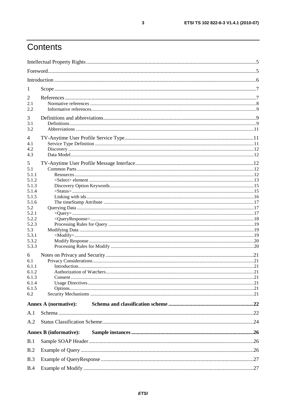# Contents

| 1              |                               |  |
|----------------|-------------------------------|--|
| 2              |                               |  |
| 2.1            |                               |  |
| 2.2            |                               |  |
| 3              |                               |  |
| 3.1            |                               |  |
| 3.2            |                               |  |
|                |                               |  |
| $\overline{4}$ |                               |  |
| 4.1            |                               |  |
| 4.2            |                               |  |
| 4.3            |                               |  |
| 5              |                               |  |
| 5.1            |                               |  |
| 5.1.1          |                               |  |
| 5.1.2          |                               |  |
| 5.1.3          |                               |  |
| 5.1.4<br>5.1.5 |                               |  |
| 5.1.6          |                               |  |
| 5.2            |                               |  |
| 5.2.1          |                               |  |
| 5.2.2          |                               |  |
| 5.2.3          |                               |  |
| 5.3            |                               |  |
| 5.3.1          |                               |  |
| 5.3.2          |                               |  |
| 5.3.3          |                               |  |
| 6              |                               |  |
| 6.1            |                               |  |
| 6.1.1          |                               |  |
| 6.1.2          |                               |  |
| 6.1.3          |                               |  |
| 6.1.4<br>6.1.5 |                               |  |
| 6.2            |                               |  |
|                |                               |  |
|                | <b>Annex A (normative):</b>   |  |
| A.1            |                               |  |
| A.2            |                               |  |
|                | <b>Annex B</b> (informative): |  |
| B.1            |                               |  |
| B.2            |                               |  |
| B.3            |                               |  |
| B.4            |                               |  |
|                |                               |  |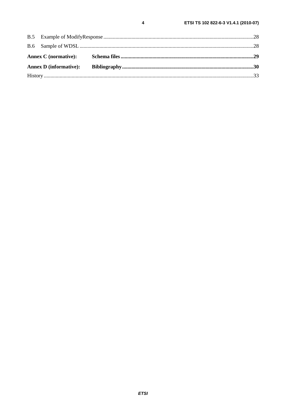$\overline{\mathbf{4}}$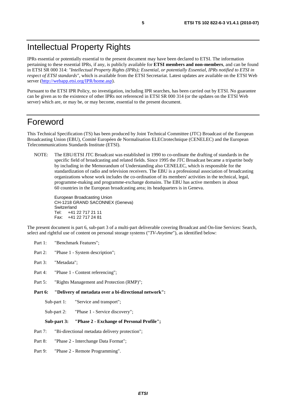IPRs essential or potentially essential to the present document may have been declared to ETSI. The information pertaining to these essential IPRs, if any, is publicly available for **ETSI members and non-members**, and can be found in ETSI SR 000 314: *"Intellectual Property Rights (IPRs); Essential, or potentially Essential, IPRs notified to ETSI in respect of ETSI standards"*, which is available from the ETSI Secretariat. Latest updates are available on the ETSI Web server [\(http://webapp.etsi.org/IPR/home.asp](http://webapp.etsi.org/IPR/home.asp)).

Pursuant to the ETSI IPR Policy, no investigation, including IPR searches, has been carried out by ETSI. No guarantee can be given as to the existence of other IPRs not referenced in ETSI SR 000 314 (or the updates on the ETSI Web server) which are, or may be, or may become, essential to the present document.

# Foreword

This Technical Specification (TS) has been produced by Joint Technical Committee (JTC) Broadcast of the European Broadcasting Union (EBU), Comité Européen de Normalisation ELECtrotechnique (CENELEC) and the European Telecommunications Standards Institute (ETSI).

NOTE: The EBU/ETSI JTC Broadcast was established in 1990 to co-ordinate the drafting of standards in the specific field of broadcasting and related fields. Since 1995 the JTC Broadcast became a tripartite body by including in the Memorandum of Understanding also CENELEC, which is responsible for the standardization of radio and television receivers. The EBU is a professional association of broadcasting organizations whose work includes the co-ordination of its members' activities in the technical, legal, programme-making and programme-exchange domains. The EBU has active members in about 60 countries in the European broadcasting area; its headquarters is in Geneva.

European Broadcasting Union CH-1218 GRAND SACONNEX (Geneva) Switzerland Tel: +41 22 717 21 11 Fax: +41 22 717 24 81

The present document is part 6, sub-part 3 of a multi-part deliverable covering Broadcast and On-line Services: Search, select and rightful use of content on personal storage systems ("*TV-Anytime*"), as identified below:

- Part 1: "Benchmark Features";
- Part 2: "Phase 1 System description";
- Part 3: "Metadata";
- Part 4: "Phase 1 Content referencing":
- Part 5: "Rights Management and Protection (RMP)";
- **Part 6: "Delivery of metadata over a bi-directional network":** 
	- Sub-part 1: "Service and transport";
	- Sub-part 2: "Phase 1 Service discovery";

#### **Sub-part 3: "Phase 2 - Exchange of Personal Profile";**

- Part 7: "Bi-directional metadata delivery protection";
- Part 8: "Phase 2 Interchange Data Format";
- Part 9: "Phase 2 Remote Programming".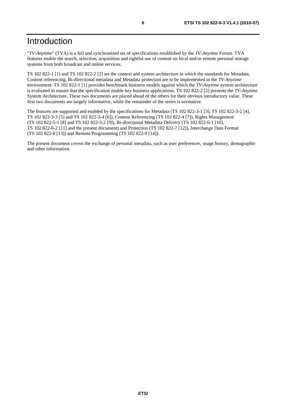# Introduction

"*TV-Anytime*" (TVA) is a full and synchronized set of specifications established by the *TV-Anytime* Forum. TVA features enable the search, selection, acquisition and rightful use of content on local and/or remote personal storage systems from both broadcast and online services.

TS 102 822-1 [1] and TS 102 822-2 [2] set the context and system architecture in which the standards for Metadata, Content referencing, Bi-directional metadata and Metadata protection are to be implemented in the *TV-Anytime* environment. TS 102 822-1 [1] provides benchmark business models against which the *TV-Anytime* system architecture is evaluated to ensure that the specification enable key business applications. TS 102 822-2 [2] presents the *TV-Anytime* System Architecture. These two documents are placed ahead of the others for their obvious introductory value. These first two documents are largely informative, while the remainder of the series is normative.

The features are supported and enabled by the specifications for Metadata (TS 102 822-3-1 [3], TS 102 822-3-2 [4], TS 102 822-3-3 [5] and TS 102 822-3-4 [6]), Content Referencing (TS 102 822-4 [7]), Rights Management (TS 102 822-5-1 [8] and TS 102 822-5-2 [9]), Bi-directional Metadata Delivery (TS 102 822-6-1 [10], TS 102 822-6-2 [11] and the present document) and Protection (TS 102 822-7 [12]), Interchange Data Format (TS 102 822-8 [13]) and Remote Programming (TS 102 822-9 [14]).

The present document covers the exchange of personal metadata, such as user preferences, usage history, demographic and other information.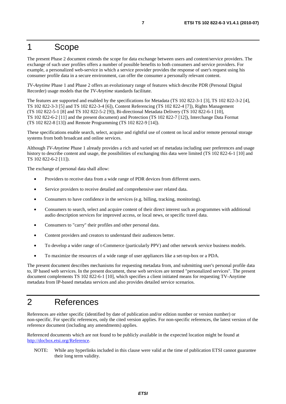# 1 Scope

The present Phase 2 document extends the scope for data exchange between users and content/service providers. The exchange of such user profiles offers a number of possible benefits to both consumers and service providers. For example, a personalized web-service in which a service provider provides the response of user's request using his consumer profile data in a secure environment, can offer the consumer a personally relevant content.

*TV-Anytime* Phase 1 and Phase 2 offers an evolutionary range of features which describe PDR (Personal Digital Recorder) usage models that the *TV-Anytime* standards facilitate.

The features are supported and enabled by the specifications for Metadata (TS 102 822-3-1 [3], TS 102 822-3-2 [4], TS 102 822-3-3 [5] and TS 102 822-3-4 [6]), Content Referencing (TS 102 822-4 [7]), Rights Management (TS 102 822-5-1 [8] and TS 102 822-5-2 [9]), Bi-directional Metadata Delivery (TS 102 822-6-1 [10], TS 102 822-6-2 [11] and the present document) and Protection (TS 102 822-7 [12]), Interchange Data Format (TS 102 822-8 [13]) and Remote Programming (TS 102 822-9 [14]).

These specifications enable search, select, acquire and rightful use of content on local and/or remote personal storage systems from both broadcast and online services.

Although *TV-Anytime* Phase 1 already provides a rich and varied set of metadata including user preferences and usage history to describe content and usage, the possibilities of exchanging this data were limited (TS 102 822-6-1 [10] and TS 102 822-6-2 [11]).

The exchange of personal data shall allow:

- Providers to receive data from a wide range of PDR devices from different users.
- Service providers to receive detailed and comprehensive user related data.
- Consumers to have confidence in the services (e.g. billing, tracking, monitoring).
- Consumers to search, select and acquire content of their direct interest such as programmes with additional audio description services for improved access, or local news, or specific travel data.
- Consumers to "carry" their profiles and other personal data.
- Content providers and creators to understand their audiences better.
- To develop a wider range of t-Commerce (particularly PPV) and other network service business models.
- To maximize the resources of a wide range of user appliances like a set-top-box or a PDA.

The present document describes mechanisms for requesting metadata from, and submitting user's personal profile data to, IP based web services. In the present document, these web services are termed "personalized services". The present document complements TS 102 822-6-1 [10], which specifies a client initiated means for requesting TV-Anytime metadata from IP-based metadata services and also provides detailed service scenarios.

### 2 References

References are either specific (identified by date of publication and/or edition number or version number) or non-specific. For specific references, only the cited version applies. For non-specific references, the latest version of the reference document (including any amendments) applies.

Referenced documents which are not found to be publicly available in the expected location might be found at <http://docbox.etsi.org/Reference>.

NOTE: While any hyperlinks included in this clause were valid at the time of publication ETSI cannot guarantee their long term validity.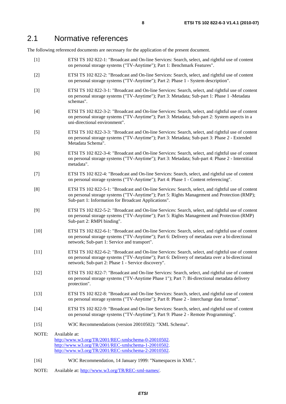### 2.1 Normative references

The following referenced documents are necessary for the application of the present document.

- [1] ETSI TS 102 822-1: "Broadcast and On-line Services: Search, select, and rightful use of content on personal storage systems ("TV-Anytime"); Part 1: Benchmark Features".
- [2] ETSI TS 102 822-2: "Broadcast and On-line Services: Search, select, and rightful use of content on personal storage systems ("TV-Anytime"); Part 2: Phase 1 - System description".
- [3] ETSI TS 102 822-3-1: "Broadcast and On-line Services: Search, select, and rightful use of content on personal storage systems ("TV-Anytime"); Part 3: Metadata; Sub-part 1: Phase 1 -Metadata schemas".
- [4] ETSI TS 102 822-3-2: "Broadcast and On-line Services: Search, select, and rightful use of content on personal storage systems ("TV-Anytime"); Part 3: Metadata; Sub-part 2: System aspects in a uni-directional environment".
- [5] ETSI TS 102 822-3-3: "Broadcast and On-line Services: Search, select, and rightful use of content on personal storage systems ("TV-Anytime"); Part 3: Metadata; Sub-part 3: Phase 2 - Extended Metadata Schema".
- [6] ETSI TS 102 822-3-4: "Broadcast and On-line Services: Search, select, and rightful use of content on personal storage systems ("TV-Anytime"); Part 3: Metadata; Sub-part 4: Phase 2 - Interstitial metadata".
- [7] ETSI TS 102 822-4: "Broadcast and On-line Services: Search, select, and rightful use of content on personal storage systems ("TV-Anytime"); Part 4: Phase 1 - Content referencing".
- [8] ETSI TS 102 822-5-1: "Broadcast and On-line Services: Search, select, and rightful use of content on personal storage systems ("TV-Anytime"); Part 5: Rights Management and Protection (RMP); Sub-part 1: Information for Broadcast Applications".
- [9] ETSI TS 102 822-5-2: "Broadcast and On-line Services: Search, select, and rightful use of content on personal storage systems ("TV-Anytime"); Part 5: Rights Management and Protection (RMP) Sub-part 2: RMPI binding".
- [10] ETSI TS 102 822-6-1: "Broadcast and On-line Services: Search, select, and rightful use of content on personal storage systems ("TV-Anytime"); Part 6: Delivery of metadata over a bi-directional network; Sub-part 1: Service and transport".
- [11] ETSI TS 102 822-6-2: "Broadcast and On-line Services: Search, select, and rightful use of content on personal storage systems ("TV-Anytime"); Part 6: Delivery of metadata over a bi-directional network; Sub-part 2: Phase 1 - Service discovery".
- [12] ETSI TS 102 822-7: "Broadcast and On-line Services: Search, select, and rightful use of content on personal storage systems ("TV-Anytime Phase 1"); Part 7: Bi-directional metadata delivery protection".
- [13] ETSI TS 102 822-8: "Broadcast and On-line Services: Search, select, and rightful use of content on personal storage systems ("TV-Anytime"); Part 8: Phase 2 - Interchange data format".
- [14] ETSI TS 102 822-9: "Broadcast and On-line Services: Search, select, and rightful use of content on personal storage systems ("TV-Anytime"); Part 9: Phase 2 - Remote Programming".
- [15] W3C Recommendations (version 20010502): "XML Schema".
- NOTE: Available at: <http://www.w3.org/TR/2001/REC-xmlschema-0-20010502>. <http://www.w3.org/TR/2001/REC-xmlschema-1-20010502>. [http://www.w3.org/TR/2001/REC-xmlschema-2-20010502](http://www.w3.org/XML/Schema).
- [16] W3C Recommendation, 14 January 1999: "Namespaces in XML".
- NOTE: Available at:<http://www.w3.org/TR/REC-xml-names/>.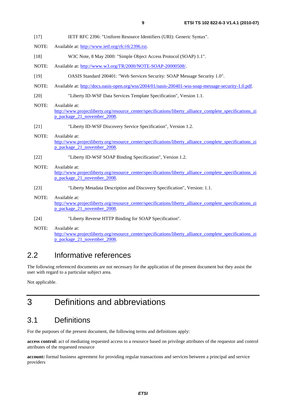- [17] IETF RFC 2396: "Uniform Resource Identifiers (URI): Generic Syntax".
- NOTE: Available at: [http://www.ietf.org/rfc/rfc2396.txt.](http://www.ietf.org/rfc/rfc2396.txt)
- [18] W3C Note, 8 May 2000: "Simple Object Access Protocol (SOAP) 1.1".
- NOTE: Available at:<http://www.w3.org/TR/2000/NOTE-SOAP-20000508/>.
- [19] OASIS Standard 200401: "Web Services Security: SOAP Message Security 1.0".
- NOTE: Available at:<http://docs.oasis-open.org/wss/2004/01/oasis-200401-wss-soap-message-security-1.0.pdf>.
- [20] "Liberty ID-WSF Data Services Template Specification", Version 1.1.
- NOTE: Available at: [http://www.projectliberty.org/resource\\_center/specifications/liberty\\_alliance\\_complete\\_specifications\\_zi](http://www.projectliberty.org/resource_center/specifications/liberty_alliance_complete_specifications_zip_package_21_november_2008) [p\\_package\\_21\\_november\\_2008](http://www.projectliberty.org/resource_center/specifications/liberty_alliance_complete_specifications_zip_package_21_november_2008).
- [21] "Liberty ID-WSF Discovery Service Specification", Version 1.2.
- NOTE: Available at: [http://www.projectliberty.org/resource\\_center/specifications/liberty\\_alliance\\_complete\\_specifications\\_zi](http://www.projectliberty.org/resource_center/specifications/liberty_alliance_complete_specifications_zip_package_21_november_2008) [p\\_package\\_21\\_november\\_2008](http://www.projectliberty.org/resource_center/specifications/liberty_alliance_complete_specifications_zip_package_21_november_2008).
- [22] "Liberty ID-WSF SOAP Binding Specification", Version 1.2.
- NOTE: Available at: [http://www.projectliberty.org/resource\\_center/specifications/liberty\\_alliance\\_complete\\_specifications\\_zi](http://www.projectliberty.org/resource_center/specifications/liberty_alliance_complete_specifications_zip_package_21_november_2008) [p\\_package\\_21\\_november\\_2008](http://www.projectliberty.org/resource_center/specifications/liberty_alliance_complete_specifications_zip_package_21_november_2008).
- [23] "Liberty Metadata Description and Discovery Specification", Version: 1.1.
- NOTE: Available at: [http://www.projectliberty.org/resource\\_center/specifications/liberty\\_alliance\\_complete\\_specifications\\_zi](http://www.projectliberty.org/resource_center/specifications/liberty_alliance_complete_specifications_zip_package_21_november_2008) [p\\_package\\_21\\_november\\_2008](http://www.projectliberty.org/resource_center/specifications/liberty_alliance_complete_specifications_zip_package_21_november_2008).
- [24] "Liberty Reverse HTTP Binding for SOAP Specification".
- NOTE: Available at: [http://www.projectliberty.org/resource\\_center/specifications/liberty\\_alliance\\_complete\\_specifications\\_zi](http://www.projectliberty.org/resource_center/specifications/liberty_alliance_complete_specifications_zip_package_21_november_2008) [p\\_package\\_21\\_november\\_2008](http://www.projectliberty.org/resource_center/specifications/liberty_alliance_complete_specifications_zip_package_21_november_2008).

### 2.2 Informative references

The following referenced documents are not necessary for the application of the present document but they assist the user with regard to a particular subject area.

Not applicable.

# 3 Definitions and abbreviations

### 3.1 Definitions

For the purposes of the present document, the following terms and definitions apply:

**access control:** act of mediating requested access to a resource based on privilege attributes of the requestor and control attributes of the requested resource

**account:** formal business agreement for providing regular transactions and services between a principal and service providers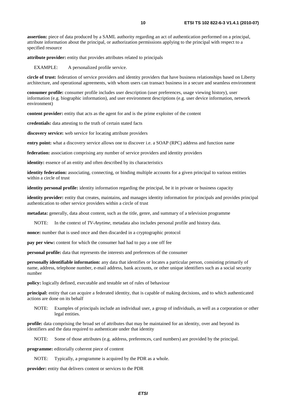**assertion:** piece of data produced by a SAML authority regarding an act of authentication performed on a principal, attribute information about the principal, or authorization permissions applying to the principal with respect to a specified resource

**attribute provider:** entity that provides attributes related to principals

EXAMPLE: A personalized profile service.

**circle of trust:** federation of service providers and identity providers that have business relationships based on Liberty architecture, and operational agreements, with whom users can transact business in a secure and seamless environment

**consumer profile:** consumer profile includes user description (user preferences, usage viewing history), user information (e.g. biographic information), and user environment descriptions (e.g. user device information, network environment)

**content provider:** entity that acts as the agent for and is the prime exploiter of the content

**credentials:** data attesting to the truth of certain stated facts

**discovery service:** web service for locating attribute providers

**entry point:** what a discovery service allows one to discover i.e. a SOAP (RPC) address and function name

**federation:** association comprising any number of service providers and identity providers

**identity:** essence of an entity and often described by its characteristics

**identity federation:** associating, connecting, or binding multiple accounts for a given principal to various entities within a circle of trust

**identity personal profile:** identity information regarding the principal, be it in private or business capacity

**identity provider:** entity that creates, maintains, and manages identity information for principals and provides principal authentication to other service providers within a circle of trust

**metadata:** generally, data about content, such as the title, genre, and summary of a television programme

NOTE: In the context of *TV-Anytime*, metadata also includes personal profile and history data.

**nonce:** number that is used once and then discarded in a cryptographic protocol

**pay per view:** content for which the consumer had had to pay a one off fee

**personal profile:** data that represents the interests and preferences of the consumer

**personally identifiable information:** any data that identifies or locates a particular person, consisting primarily of name, address, telephone number, e-mail address, bank accounts, or other unique identifiers such as a social security number

**policy:** logically defined, executable and testable set of rules of behaviour

**principal:** entity that can acquire a federated identity, that is capable of making decisions, and to which authenticated actions are done on its behalf

NOTE: Examples of principals include an individual user, a group of individuals, as well as a corporation or other legal entities.

**profile:** data comprising the broad set of attributes that may be maintained for an identity, over and beyond its identifiers and the data required to authenticate under that identity

NOTE: Some of those attributes (e.g. address, preferences, card numbers) are provided by the principal.

**programme:** editorially coherent piece of content

NOTE: Typically, a programme is acquired by the PDR as a whole.

**provider:** entity that delivers content or services to the PDR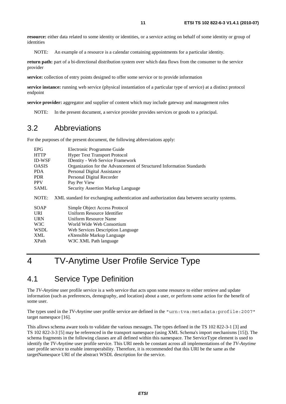**resource:** either data related to some identity or identities, or a service acting on behalf of some identity or group of identities

NOTE: An example of a resource is a calendar containing appointments for a particular identity.

**return path:** part of a bi-directional distribution system over which data flows from the consumer to the service provider

**service:** collection of entry points designed to offer some service or to provide information

**service instance:** running web service (physical instantiation of a particular type of service) at a distinct protocol endpoint

**service provider:** aggregator and supplier of content which may include gateway and management roles

NOTE: In the present document, a service provider provides services or goods to a principal.

### 3.2 Abbreviations

For the purposes of the present document, the following abbreviations apply:

| <b>EPG</b>       | Electronic Programme Guide                                                                  |
|------------------|---------------------------------------------------------------------------------------------|
| <b>HTTP</b>      | <b>Hyper Text Transport Protocol</b>                                                        |
| <b>ID-WSF</b>    | <b>IDentity - Web Service Framework</b>                                                     |
| <b>OASIS</b>     | Organization for the Advancement of Structured Information Standards                        |
| <b>PDA</b>       | Personal Digital Assistance                                                                 |
| <b>PDR</b>       | Personal Digital Recorder                                                                   |
| <b>PPV</b>       | Pay Per View                                                                                |
| <b>SAML</b>      | Security Assertion Markup Language                                                          |
| NOTE:            | XML standard for exchanging authentication and authorization data between security systems. |
| <b>SOAP</b>      | Simple Object Access Protocol                                                               |
| <b>URI</b>       | Uniform Resource Identifier                                                                 |
| <b>URN</b>       | Uniform Resource Name                                                                       |
| W <sub>3</sub> C | World Wide Web Consortium                                                                   |
| <b>WSDL</b>      | Web Services Description Language                                                           |
| XML              | eXtensible Markup Language                                                                  |
| <b>XPath</b>     | W3C XML Path language                                                                       |
|                  |                                                                                             |

# 4 TV-Anytime User Profile Service Type

### 4.1 Service Type Definition

The *TV-Anytime* user profile service is a web service that acts upon some resource to either retrieve and update information (such as preferences, demography, and location) about a user, or perform some action for the benefit of some user.

The types used in the *TV-Anytime* user profile service are defined in the "urn:tva:metadata:profile:2007" target namespace [16].

This allows schema aware tools to validate the various messages. The types defined in the TS 102 822-3-1 [3] and TS 102 822-3-3 [5] may be referenced in the transport namespace (using XML Schema's import mechanisms [15]). The schema fragments in the following clauses are all defined within this namespace. The ServiceType element is used to identify the *TV-Anytime* user profile service. This URI needs be constant across all implementations of the *TV-Anytime* user profile service to enable interoperability. Therefore, it is recommended that this URI be the same as the targetNamespace URI of the abstract WSDL description for the service.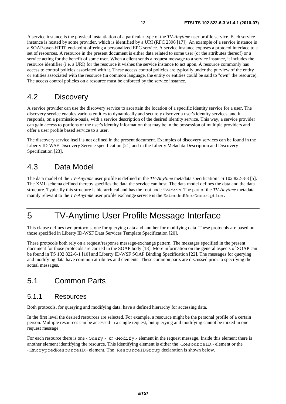A service instance is the physical instantiation of a particular type of the *TV-Anytime* user profile service. Each service instance is hosted by some provider, which is identified by a URI (RFC 2396 [17]). An example of a service instance is a SOAP-over-HTTP end-point offering a personalized EPG service. A service instance exposes a protocol interface to a set of resources. A resource in the present document is either data related to some user (or the attributes thereof) or a service acting for the benefit of some user. When a client sends a request message to a service instance, it includes the resource identifier (i.e. a URI) for the resource it wishes the service instance to act upon. A resource commonly has access to control policies associated with it. These access control policies are typically under the purview of the entity or entities associated with the resource (in common language, the entity or entities could be said to "own" the resource). The access control policies on a resource must be enforced by the service instance.

### 4.2 Discovery

A service provider can use the discovery service to ascertain the location of a specific identity service for a user. The discovery service enables various entities to dynamically and securely discover a user's identity services, and it responds, on a permission-basis, with a service description of the desired identity service. This way, a service provider can gain access to portions of the user's identity information that may be in the possession of multiple providers and offer a user profile based service to a user.

The discovery service itself is not defined in the present document. Examples of discovery services can be found in the Liberty ID-WSF Discovery Service specification [21] and in the Liberty Metadata Description and Discovery Specification [23].

# 4.3 Data Model

The data model of the *TV-Anytime* user profile is defined in the *TV-Anytime* metadata specification TS 102 822-3-3 [5]. The XML schema defined thereby specifies the data the service can host. The data model defines the data and the data structure. Typically this structure is hierarchical and has the root node TVAMain. The part of the *TV-Anytime* metadata mainly relevant to the *TV-Anytime* user profile exchange service is the ExtendedUserDescription.

# 5 TV-Anytime User Profile Message Interface

This clause defines two protocols, one for querying data and another for modifying data. These protocols are based on those specified in Liberty ID-WSF Data Services Template Specification [20].

These protocols both rely on a request/response message-exchange pattern. The messages specified in the present document for those protocols are carried in the SOAP body [18]. More information on the general aspects of SOAP can be found in TS 102 822-6-1 [10] and Liberty ID-WSF SOAP Binding Specification [22]. The messages for querying and modifying data have common attributes and elements. These common parts are discussed prior to specifying the actual messages.

### 5.1 Common Parts

#### 5.1.1 Resources

Both protocols, for querying and modifying data, have a defined hierarchy for accessing data.

In the first level the desired resources are selected. For example, a resource might be the personal profile of a certain person. Multiple resources can be accessed in a single request, but querying and modifying cannot be mixed in one request message.

For each resource there is one <Query> or <Modify> element in the request message. Inside this element there is another element identifying the resource. This identifying element is either the <ResourceID> element or the <EncryptedResourceID> element. The ResourceIDGroup declaration is shown below.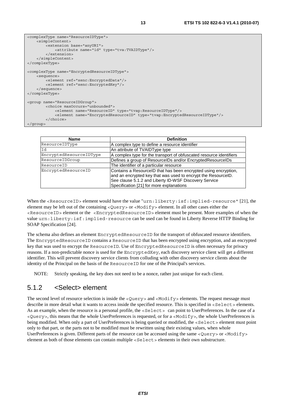```
<complexType name="ResourceIDType"> 
     <simpleContent> 
         <extension base="anyURI"> 
             <attribute name="id" type="tva:TVAIDType"/> 
         </extension> 
     </simpleContent> 
</complexType> 
<complexType name="EncryptedResourceIDType"> 
     <sequence> 
         <element ref="xenc:EncryptedData"/> 
         <element ref="xenc:EncryptedKey"/> 
     </sequence> 
</complexType> 
<group name="ResourceIDGroup"> 
         <choice maxOccurs="unbounded"> 
              <element name="ResourceID" type="tvap:ResourceIDType"/> 
              <element name="EncryptedResourceID" type="tvap:EncryptedResourceIDType"/> 
         </choice> 
</group>
```

| Name                    | <b>Definition</b>                                                                                                                                                                                                                     |
|-------------------------|---------------------------------------------------------------------------------------------------------------------------------------------------------------------------------------------------------------------------------------|
| ResourceIDType          | A complex type to define a resource identifier                                                                                                                                                                                        |
| Id                      | An attribute of TVAIDType type                                                                                                                                                                                                        |
| EncryptedResourceIDType | A complex type for the transport of obfuscated resource identifiers                                                                                                                                                                   |
| ResourceIDGroup         | Defines a group of ResourceIDs and/or EncryptedResourceIDs                                                                                                                                                                            |
| ResourceID              | The identifier of a particular resource                                                                                                                                                                                               |
| EncryptedResourceID     | Contains a ResourceID that has been encrypted using encryption,<br>and an encrypted key that was used to encrypt the ResourceID.<br>See clause 5.1.2 and Liberty ID-WSF Discovery Service<br>Specification [21] for more explanations |

When the <ResourceID> element would have the value "urn:liberty:isf:implied-resource" [21], the element may be left out of the containing <Query> or <Modify> element. In all other cases either the <ResourceID> element or the <EncryptedResourceID> element must be present. More examples of when the value urn:liberty:isf:implied-resource can be used can be found in Liberty Reverse HTTP Binding for SOAP Specification [24].

The schema also defines an element EncryptedResourceID for the transport of obfuscated resource identifiers. The EncryptedResourceID contains a ResourceID that has been encrypted using encryption, and an encrypted key that was used to encrypt the ResourceID. Use of EncryptedResourceID is often necessary for privacy reasons. If a non-predictable nonce is used for the EncryptedKey, each discovery service client will get a different identifier. This will prevent discovery service clients from colluding with other discovery service clients about the identity of the Principal on the basis of the ResourceID for one of the Principal's services.

NOTE: Strictly speaking, the key does not need to be a nonce, rather just unique for each client.

#### 5.1.2 <Select> element

The second level of resource selection is inside the <Query> and <Modify> elements. The request message must describe in more detail what it wants to access inside the specified resource. This is specified in <Select> elements. As an example, when the resource is a personal profile, the <Select> can point to UserPreferences. In the case of a  $\leq$ Ouery>, this means that the whole UserPreferences is requested, or for a  $\leq$ Modify>, the whole UserPreferences is being modified. When only a part of UserPreferences is being queried or modified, the <Select> element must point only to that part, or the parts not to be modified must be rewritten using their existing values, when whole UserPreferences is given. Different parts of the resource can be accessed using the same <Query> or <Modify> element as both of those elements can contain multiple <Select> elements in their own substructure.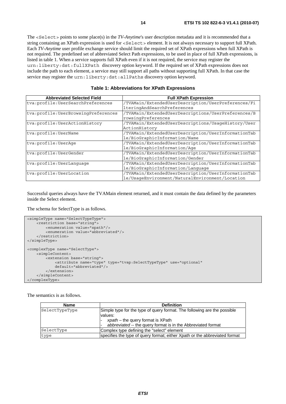The <Select> points to some place(s) in the *TV-Anytime*'s user description metadata and it is recommended that a string containing an XPath expression is used for <Select> element. It is not always necessary to support full XPath. Each *TV-Anytime* user profile exchange service should limit the required set of XPath expressions when full XPath is not required. The predefined set of abbreviated Select Path expressions, to be used in place of full XPath expressions, is listed in table 1. When a service supports full XPath even if it is not required, the service may register the urn:liberty:dst:fullXPath discovery option keyword. If the required set of XPath expressions does not include the path to each element, a service may still support all paths without supporting full XPath. In that case the service may register the urn:liberty:dst:allPaths discovery option keyword.

| <b>Abbreviated Selected Field</b>     | <b>Full XPath Expression</b>                        |
|---------------------------------------|-----------------------------------------------------|
| tva:profile:UserSearchPreferences     | /TVAMain/ExtendedUserDescription/UserPreferences/Fi |
|                                       | lteringAndSearchPreferences                         |
| tva: profile: UserBrowsingPreferences | /TVAMain/ExtendedUserDescriptions/UserPreferences/B |
|                                       | rowsingPreferences                                  |
| tva: profile: UserActionHistory       | /TVAMain/ExtendedUserDescriptions/UsageHistory/User |
|                                       | ActionHistory                                       |
| tva:profile:UserName                  | /TVAMain/ExtendedUserDescription/UserInformationTab |
|                                       | le/BioGraphicInformation/Name                       |
| tva:profile:UserAqe                   | /TVAMain/ExtendedUserDescription/UserInformationTab |
|                                       | le/BioGraphicInformation/Age                        |
| tva: profile: UserGender              | /TVAMain/ExtendedUserDescription/UserInformationTab |
|                                       | le/BioGraphicInformation/Gender                     |
| tva: profile: UserLanquaqe            | /TVAMain/ExtendedUserDescription/UserInformationTab |
|                                       | le/BioGraphicInformation/Language                   |
| tva: profile: UserLocation            | /TVAMain/ExtendedUserDescription/UserInformationTab |
|                                       | le/UsageEnvironment/NaturalEnvironment/Location     |

**Table 1: Abbreviations for XPath Expressions** 

Successful queries always have the TVAMain element returned, and it must contain the data defined by the parameters inside the Select element.

The schema for SelectType is as follows.

```
<simpleType name="SelectTypeType"> 
     <restriction base="string"> 
         <enumeration value="xpath"/> 
         <enumeration value="abbreviated"/> 
     </restriction> 
</simpleType> 
<complexType name="SelectType"> 
     <simpleContent> 
         <extension base="string"> 
             <attribute name="type" type="tvap:SelectTypeType" use="optional" 
             default="abbreviated"/> 
         </extension> 
     </simpleContent> 
</complexType>
```
The semantics is as follows.

| <b>Name</b>    | <b>Definition</b>                                                                   |
|----------------|-------------------------------------------------------------------------------------|
| SelectTypeType | Simple type for the type of query format. The following are the possible<br>values: |
|                | $x$ path – the query format is XPath                                                |
|                | abbreviated -- the query format is in the Abbreviated format                        |
| SelectType     | Complex type defining the "select" element                                          |
| type           | specifies the type of query format; either Xpath or the abbreviated format          |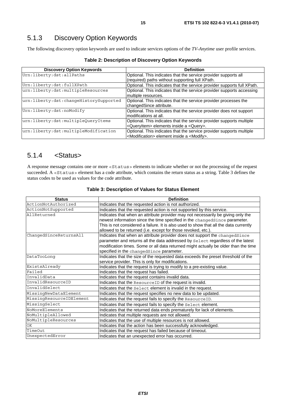### 5.1.3 Discovery Option Keywords

The following discovery option keywords are used to indicate services options of the *TV-Anytime* user profile services.

| <b>Discovery Option Keywords</b>       | <b>Definition</b>                                                                                                                         |
|----------------------------------------|-------------------------------------------------------------------------------------------------------------------------------------------|
| Urn:liberty:dst:allPaths               | Optional. This indicates that the service provider supports all<br>(required) paths without supporting full XPath.                        |
| Urn:liberty:dst:fullXPath              | Optional. This indicates that the service provider supports full XPath.                                                                   |
| urn:liberty:dst:multipleResources      | Optional. This indicates that the service provider supports accessing<br>multiple resources.                                              |
| urn:liberty:dst:changeHistorySupported | Optional. This indicates that the service provider processes the<br>changedSince attribute.                                               |
| Urn:liberty:dst:noModify               | Optional. This indicates that the service provider does not support<br>modifications at all.                                              |
| urn:liberty:dst:multipleQueryItems     | Optional. This indicates that the service provider supports multiple<br><queryitem> elements inside a <query>.</query></queryitem>        |
| urn:liberty:dst:multipleModification   | Optional. This indicates that the service provider supports multiple<br><modification> element inside a <modify>.</modify></modification> |

**Table 2: Description of Discovery Option Keywords** 

#### 5.1.4 <Status>

A response message contains one or more <Status> elements to indicate whether or not the processing of the request succeeded. A <Status> element has a code attribute, which contains the return status as a string. Table 3 defines the status codes to be used as values for the code attribute.

| <b>Status</b>            | <b>Definition</b>                                                                     |
|--------------------------|---------------------------------------------------------------------------------------|
| ActionNotAuthorized      | Indicates that the requested action is not authorized.                                |
| ActionNotSupported       | Indicates that the requested action is not supported by this service.                 |
| AllReturned              | Indicates that when an attribute provider may not necessarily be giving only the      |
|                          | newest information since the time specified in the changedSince parameter.            |
|                          | This is not considered a failure. It is also used to show that all the data currently |
|                          | allowed to be returned (i.e. except for those revoked, etc.).                         |
| ChangedSinceReturnsAll   | Indicates that when an attribute provider does not support the changedSince           |
|                          | parameter and returns all the data addressed by Select regardless of the latest       |
|                          | modification times. Some or all data returned might actually be older than the time   |
|                          | specified in the changedSince parameter.                                              |
| DataTooLong              | Indicates that the size of the requested data exceeds the preset threshold of the     |
|                          | service provider. This is only for modifications.                                     |
| ExistsAlready            | Indicates that the request is trying to modify to a pre-existing value.               |
| Failed                   | Indicates that the request has failed.                                                |
| InvalidData              | Indicates that the request contains invalid data.                                     |
| InvalidResourceID        | Indicates that the ResourceID of the request is invalid.                              |
| InvalidSelect            | Indicates that the Select element is invalid in the request.                          |
| MissingNewDataElement    | Indicates that the request specifies no new data to be updated.                       |
| MissingResourceIDElement | Indicates that the request fails to specify the ResourceID.                           |
| MissingSelect            | Indicates that the request fails to specify the Select element.                       |
| NoMoreElements           | Indicates that the returned data ends prematurely for lack of elements.               |
| NoMultipleAllowed        | Indicates that multiple requests are not allowed.                                     |
| NoMultipleResources      | Indicates that the use of multiple resources is not allowed.                          |
| OK                       | Indicates that the action has been successfully acknowledged.                         |
| TimeOut                  | Indicates that the request has failed because of timeout.                             |
| UnexpectedError          | Indicates that an unexpected error has occurred.                                      |

#### **Table 3: Description of Values for Status Element**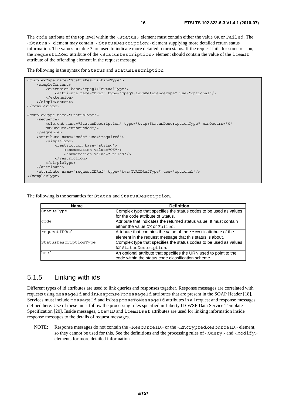The code attribute of the top level within the <Status> element must contain either the value OK or Failed. The <Status> element may contain <StatusDescription> element supplying more detailed return status information. The values in table 3 are used to indicate more detailed return status. If the request fails for some reason, the requestIDRef attribute of the <StatusDescription> element should contain the value of the itemID attribute of the offending element in the request message.

The following is the syntax for Status and StatusDescription.

```
<complexType name="StatusDescriptionType"> 
     <simpleContent> 
        .<br><extension base="mpeg7:TextualType">
             <attribute name="href" type="mpeg7:termReferenceType" use="optional"/> 
         </extension> 
     </simpleContent> 
</complexType> 
<complexType name="StatusType"> 
     <sequence> 
         <element name="StatusDescription" type="tvap:StatusDescriptionType" minOccurs="0" 
         maxOccurs="unbounded"/> 
     </sequence> 
     <attribute name="code" use="required"> 
         <simpleType> 
             <restriction base="string"> 
                  <enumeration value="OK"/> 
                  <enumeration value="Failed"/> 
              </restriction> 
         </simpleType> 
     </attribute> 
     <attribute name="requestIDRef" type="tva:TVAIDRefType" use="optional"/> 
</complexType>
```
The following is the semantics for Status and StatusDescription.

| <b>Name</b>           | <b>Definition</b>                                                                                                             |
|-----------------------|-------------------------------------------------------------------------------------------------------------------------------|
| StatusType            | Complex type that specifies the status codes to be used as values<br>for the code attribute of Status.                        |
| code                  | Attribute that indicates the returned status value. It must contain<br>either the value OK or Failed.                         |
| requestIDRef          | Attribute that contains the value of the itemID attribute of the<br>element in the request message that this status is about. |
| StatusDescriptionType | Complex type that specifies the status codes to be used as values<br>for StatusDescription.                                   |
| href                  | An optional attribute that specifies the URN used to point to the<br>code within the status code classification scheme.       |

#### 5.1.5 Linking with ids

Different types of id attributes are used to link queries and responses together. Response messages are correlated with requests using messageId and inResponseToMessageId attributes that are present in the SOAP Header [18]. Services must include messageId and inResponseToMessageId attributes in all request and response messages defined here. Use of these must follow the processing rules specified in Liberty ID-WSF Data Service Template Specification [20]. Inside messages, itemID and itemIDRef attributes are used for linking information inside response messages to the details of request messages.

NOTE: Response messages do not contain the <ResourceID> or the <EncryptedResourceID> element, so they cannot be used for this. See the definitions and the processing rules of <Query> and <Modify> elements for more detailed information.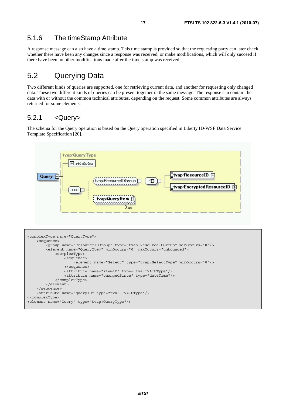#### 5.1.6 The timeStamp Attribute

A response message can also have a time stamp. This time stamp is provided so that the requesting party can later check whether there have been any changes since a response was received, or make modifications, which will only succeed if there have been no other modifications made after the time stamp was received.

### 5.2 Querying Data

Two different kinds of queries are supported, one for retrieving current data, and another for requesting only changed data. These two different kinds of queries can be present together in the same message. The response can contain the data with or without the common technical attributes, depending on the request. Some common attributes are always returned for some elements.

#### 5.2.1 <Query>

The schema for the Query operation is based on the Query operation specified in Liberty ID-WSF Data Service Template Specification [20].



```
<complexType name="QueryType"> 
     <sequence> 
         <group name="ResourceIDGroup" type="tvap:ResourceIDGroup" minOccurs="0"/> 
        <element name="QueryItem" minOccurs="0" maxOccurs="unbounded">
             <complexType> 
                  <sequence> 
                     <element name="Select" type="tvap:SelectType" minOccurs="0"/> 
                 </sequence> 
                 <attribute name="itemID" type="tva:TVAIDType"/> 
                 <attribute name="changedSince" type="dateTime"/> 
             </complexType> 
         </element> 
     </sequence> 
     <attribute name="queryID" type="tva: TVAIDType"/> 
</complexType> 
<element name="Query" type="tvap:QueryType"/>
```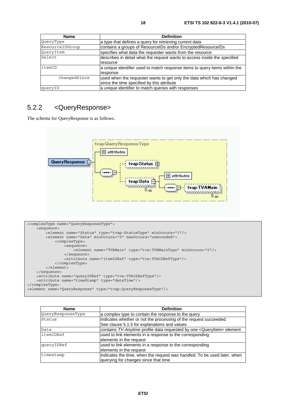| Name            | <b>Definition</b>                                                          |
|-----------------|----------------------------------------------------------------------------|
| QueryType       | a type that defines a query for retrieving current data                    |
| ResourceIDGroup | contains a groups of ResourceIDs and/or EncryptedResourceIDs               |
| QueryItem       | specifies what data the requester wants from the resource                  |
| Select          | describes in detail what the request wants to access inside the specified  |
|                 | resource                                                                   |
| itemID          | a unique identifier used to match response items to query items within the |
|                 | response                                                                   |
| changedSince    | used when the requester wants to get only the data which has changed       |
|                 | since the time specified by this attribute                                 |
| queryID         | a unique identifier to match queries with responses                        |

### 5.2.2 <QueryResponse>

The schema for QueryResponse is as follows.



```
<complexType name="QueryResponseType"> 
     <sequence> 
         <element name="Status" type="tvap:StatusType" minOccurs="1"/> 
         <element name="Data" minOccurs="0" maxOccurs="unbounded"> 
             <complexType> 
                  <sequence> 
                      <element name="TVAMain" type="tva:TVAMainType" minOccurs="0"/> 
                  </sequence> 
                  <attribute name="itemIDRef" type="tva:TVAIDRefType"/> 
             </complexType> 
         </element> 
     </sequence> 
     <attribute name="queryIDRef" type="tva:TVAIDRefType"/> 
     <attribute name="timeStamp" type="dateTime"/> 
</complexType> 
<element name="QueryResponse" type="tvap:QueryResponseType"/>
```

| <b>Name</b>       | <b>Definition</b>                                                        |
|-------------------|--------------------------------------------------------------------------|
| QueryResponseType | a complex type to contain the response to the query                      |
| Status            | indicates whether or not the processing of the request succeeded.        |
|                   | See clause 5.1.5 for explanations and values                             |
| Data              | contains TV-Anytime profile data requested by one < QueryItem> element   |
| itemIDRef         | used to link elements in a response to the corresponding                 |
|                   | elements in the request                                                  |
| queryIDRef        | used to link elements in a response to the corresponding                 |
|                   | elements in the request                                                  |
| timestamp         | indicates the time, when the request was handled. To be used later, when |
|                   | querying for changes since that time                                     |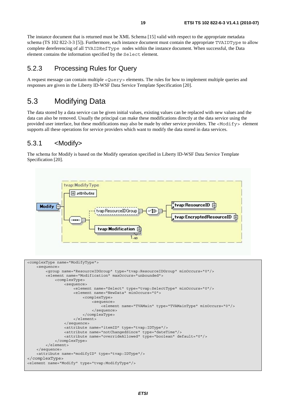The instance document that is returned must be XML Schema [15] valid with respect to the appropriate metadata schema (TS 102 822-3-3 [5]). Furthermore, each instance document must contain the appropriate TVAIDType to allow complete dereferencing of all TVAIDRefType nodes within the instance document. When successful, the Data element contains the information specified by the Select element.

#### 5.2.3 Processing Rules for Query

A request message can contain multiple <Query> elements. The rules for how to implement multiple queries and responses are given in the Liberty ID-WSF Data Service Template Specification [20].

### 5.3 Modifying Data

The data stored by a data service can be given initial values, existing values can be replaced with new values and the data can also be removed. Usually the principal can make these modifications directly at the data service using the provided user interface, but these modifications may also be made by other service providers. The  $\lt$ Modify> element supports all these operations for service providers which want to modify the data stored in data services.

#### 5.3.1 <Modify>

The schema for Modify is based on the Modify operation specified in Liberty ID-WSF Data Service Template Specification [20].

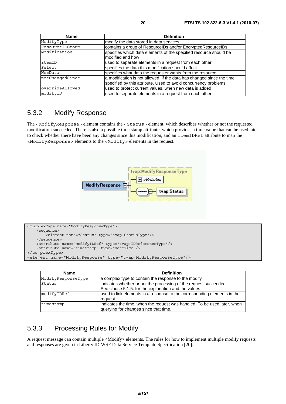| <b>Name</b>     | <b>Definition</b>                                                                                                                        |
|-----------------|------------------------------------------------------------------------------------------------------------------------------------------|
| ModifyType      | modify the data stored in data services                                                                                                  |
| ResourceIDGroup | contains a group of ResourceIDs and/or EncryptedResourceIDs                                                                              |
| Modification    | specifies which data elements of the specified resource should be<br>modified and how                                                    |
| itemID          | used to separate elements in a request from each other                                                                                   |
| Select          | specifies the data this modification should affect                                                                                       |
| NewData         | specifies what data the requester wants from the resource                                                                                |
| notChangedSince | a modification is not allowed, if the data has changed since the time<br>specified by this attribute. Used to avoid concurrency problems |
| overrideAllowed | used to protect current values, when new data is added                                                                                   |
| modifyID        | used to separate elements in a request from each other                                                                                   |

#### 5.3.2 Modify Response

The <ModifyResponse> element contains the <Status> element, which describes whether or not the requested modification succeeded. There is also a possible time stamp attribute, which provides a time value that can be used later to check whether there have been any changes since this modification, and an itemIDRef attribute to map the <ModifyResponse> elements to the <Modify> elements in the request.



```
<complexType name="ModifyResponseType"> 
    <sequence> 
        .<br><element name="Status" type="tvap:StatusType"/>
     </sequence> 
    <attribute name="modifyIDRef" type="tvap:IDReferenceType"/> 
    <attribute name="timeStamp" type="dateTime"/> 
</complexType> 
<element name="ModifyResponse" type="tvap:ModifyResponseType"/>
```

| <b>Name</b>        | <b>Definition</b>                                                                                                         |
|--------------------|---------------------------------------------------------------------------------------------------------------------------|
| ModifyResponseType | a complex type to contain the response to the modify                                                                      |
| Status             | indicates whether or not the processing of the request succeeded.<br>See clause 5.1.5. for the explanation and the values |
| modifyIDRef        | used to link elements in a response to the corresponding elements in the<br>request.                                      |
| timestamp          | indicates the time, when the request was handled. To be used later, when<br>querying for changes since that time.         |

### 5.3.3 Processing Rules for Modify

A request message can contain multiple <Modify> elements. The rules for how to implement multiple modify requests and responses are given in Liberty ID-WSF Data Service Template Specification [20].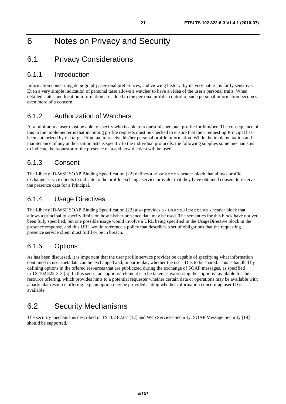# 6 Notes on Privacy and Security

### 6.1 Privacy Considerations

#### 6.1.1 Introduction

Information concerning demography, personal preferences, and viewing history, by its very nature, is fairly sensitive. Even a very simple indication of personal taste allows a watcher to have an idea of the user's personal traits. When detailed status and location information are added to the personal profile, control of such personal information becomes even more of a concern.

#### 6.1.2 Authorization of Watchers

At a minimum a user must be able to specify who is able to request his personal profile for him/her. The consequence of this to the implementer is that incoming profile requests must be checked to ensure that their requesting Principal has been authorized by the target Principal to receive his/her personal profile information. While the implementation and maintenance of any authorization lists is specific to the individual protocols, the following supplies some mechanisms to indicate the requestor of the presence data and how the data will be used.

### 6.1.3 Consent

The Liberty ID-WSF SOAP Binding Specification [22] defines a <Consent> header block that allows profile exchange service clients to indicate to the profile exchange service provider that they have obtained consent to receive the presence data for a Principal.

#### 6.1.4 Usage Directives

The Liberty ID-WSF SOAP Binding Specification [22] also provides a <UsageDirective> header block that allows a principal to specify limits on how his/her presence data may be used. The semantics for this block have not yet been fully specified, but one possible usage would involve a URL being specified in the UsageDirective block in the presence response, and this URL would reference a policy that describes a set of obligations that the requesting presence service client must fulfil or be in breach.

### 6.1.5 Options

As has been discussed, it is important that the user profile service provider be capable of specifying what information contained in user metadata can be exchanged and, in particular, whether the user ID is to be shared. This is handled by defining options in the offered resources that are publicized during the exchange of SOAP messages, as specified in TS 102 822-3-3 [5]. In this sense, an "options" element can be taken as expressing the "options" available for the resource offering, which provides hints to a potential requester whether certain data or operations may be available with a particular resource offering: e.g. an option may be provided stating whether information concerning user ID is available.

### 6.2 Security Mechanisms

The security mechanisms described in TS 102 822-7 [12] and Web Services Security: SOAP Message Security [19] should be supported.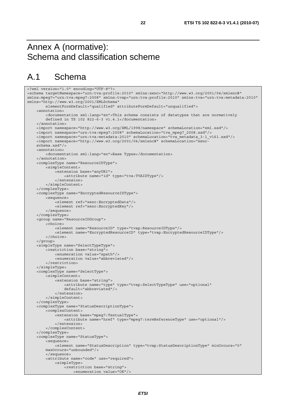# Annex A (normative): Schema and classification scheme

# A.1 Schema

```
<?xml version="1.0" encoding="UTF-8"?> 
<schema targetNamespace="urn:tva:profile:2010" xmlns:xenc="http://www.w3.org/2001/04/xmlenc#" 
xmlns:mpeg7="urn:tva:mpeg7:2008" xmlns:tvap="urn:tva:profile:2010" xmlns:tva="urn:tva:metadata:2010" 
xmlns="http://www.w3.org/2001/XMLSchema" 
         elementFormDefault="qualified" attributeFormDefault="unqualified"> 
     <annotation> 
         <documentation xml:lang="en">This schema consists of datatypes that are normatively 
         defined in TS 102 822-6-3 v1.4.1</documentation> 
     </annotation> 
     <import namespace="http://www.w3.org/XML/1998/namespace" schemaLocation="xml.xsd"/> 
     <import namespace="urn:tva:mpeg7:2008" schemaLocation="tva_mpeg7_2008.xsd"/> 
     <import namespace="urn:tva:metadata:2010" schemaLocation="tva_metadata_3-1_v161.xsd"/> 
     <import namespace="http://www.w3.org/2001/04/xmlenc#" schemaLocation="xenc- 
     schema.xsd"/> 
     <annotation> 
         <documentation xml:lang="en">Base Types</documentation> 
     </annotation> 
     <complexType name="ResourceIDType"> 
         <simpleContent> 
             <extension base="anyURI"> 
                  <attribute name="id" type="tva:TVAIDType"/> 
              </extension> 
         </simpleContent> 
     </complexType> 
     <complexType name="EncryptedResourceIDType"> 
         <sequence> 
              <element ref="xenc:EncryptedData"/> 
             <element ref="xenc:EncryptedKey"/> 
         </sequence> 
     </complexType> 
     <group name="ResourceIDGroup"> 
         <choice> 
             <element name="ResourceID" type="tvap:ResourceIDType"/> 
             <element name="EncryptedResourceID" type="tvap:EncryptedResourceIDType"/> 
         </choice> 
     </group> 
     <simpleType name="SelectTypeType"> 
         <restriction base="string"> 
             <enumeration value="xpath"/> 
              <enumeration value="abbreviated"/> 
         </restriction> 
     </simpleType> 
     <complexType name="SelectType"> 
         <simpleContent> 
             <extension base="string"> 
                  <attribute name="type" type="tvap:SelectTypeType" use="optional" 
                  default="abbreviated"/> 
              </extension> 
         </simpleContent> 
     </complexType> 
     <complexType name="StatusDescriptionType"> 
         <complexContent> 
              <extension base="mpeg7:TextualType"> 
                  <attribute name="href" type="mpeg7:termReferenceType" use="optional"/> 
             </extension> 
         </complexContent> 
     </complexType> 
     <complexType name="StatusType"> 
         <sequence> 
              <element name="StatusDescription" type="tvap:StatusDescriptionType" minOccurs="0" 
         maxOccurs="unbounded"/> 
         </sequence> 
         <attribute name="code" use="required"> 
              <simpleType> 
                  <restriction base="string"> 
                      <enumeration value="OK"/>
```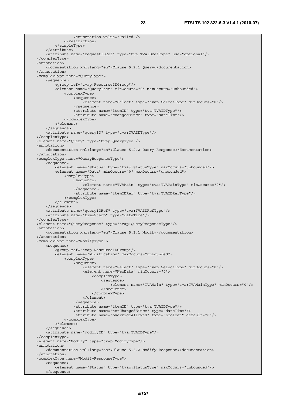```
 <enumeration value="Failed"/> 
              </restriction> 
          </simpleType> 
     </attribute> 
     <attribute name="requestIDRef" type="tva:TVAIDRefType" use="optional"/> 
 </complexType> 
 <annotation> 
     <documentation xml:lang="en">Clause 5.2.1 Query</documentation> 
 </annotation> 
 <complexType name="QueryType"> 
     <sequence> 
         <group ref="tvap:ResourceIDGroup"/> 
         <element name="QueryItem" minOccurs="0" maxOccurs="unbounded"> 
              <complexType> 
                  <sequence> 
                      <element name="Select" type="tvap:SelectType" minOccurs="0"/> 
                  </sequence> 
                  <attribute name="itemID" type="tva:TVAIDType"/> 
                  <attribute name="changedSince" type="dateTime"/> 
              </complexType> 
         </element> 
     </sequence> 
     <attribute name="queryID" type="tva:TVAIDType"/> 
 </complexType> 
 <element name="Query" type="tvap:QueryType"/> 
 <annotation> 
     <documentation xml:lang="en">Clause 5.2.2 Query Response</documentation> 
 </annotation> 
 <complexType name="QueryResponseType"> 
     <sequence> 
        -<br><element name="Status" type="tvap:StatusType" maxOccurs="unbounded"/>
         <element name="Data" minOccurs="0" maxOccurs="unbounded"> 
              <complexType> 
                  <sequence> 
                      <element name="TVAMain" type="tva:TVAMainType" minOccurs="0"/> 
                  </sequence> 
                  <attribute name="itemIDRef" type="tva:TVAIDRefType"/> 
              </complexType> 
         </element> 
     </sequence> 
     <attribute name="queryIDRef" type="tva:TVAIDRefType"/> 
     <attribute name="timeStamp" type="dateTime"/> 
 </complexType> 
 <element name="QueryResponse" type="tvap:QueryResponseType"/> 
 <annotation> 
     <documentation xml:lang="en">Clause 5.3.1 Modify</documentation> 
 </annotation> 
 <complexType name="ModifyType"> 
     <sequence> 
          <group ref="tvap:ResourceIDGroup"/> 
         <element name="Modification" maxOccurs="unbounded"> 
              <complexType> 
                  <sequence> 
                      <element name="Select" type="tvap:SelectType" minOccurs="0"/> 
                      <element name="NewData" minOccurs="0"> 
                           <complexType> 
                               <sequence> 
                                   <element name="TVAMain" type="tva:TVAMainType" minOccurs="0"/> 
                               </sequence> 
                           </complexType> 
                      </element> 
                  </sequence> 
                  <attribute name="itemID" type="tva:TVAIDType"/> 
                  <attribute name="notChangedSince" type="dateTime"/> 
                  <attribute name="overrideAllowed" type="boolean" default="0"/> 
              </complexType> 
         </element> 
     </sequence> 
     <attribute name="modifyID" type="tva:TVAIDType"/> 
 </complexType> 
 <element name="Modify" type="tvap:ModifyType"/> 
 <annotation> 
     <documentation xml:lang="en">Clause 5.3.2 Modify Response</documentation> 
 </annotation> 
 <complexType name="ModifyResponseType"> 
     <sequence> 
         <element name="Status" type="tvap:StatusType" maxOccurs="unbounded"/> 
     </sequence>
```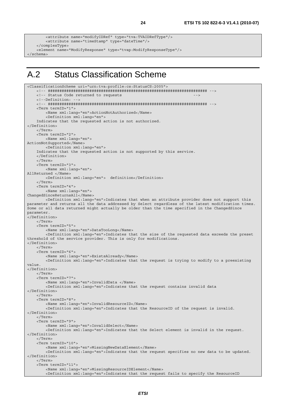```
 <attribute name="modifyIDRef" type="tva:TVAIDRefType"/> 
         <attribute name="timeStamp" type="dateTime"/> 
     </complexType> 
    <element name="ModifyResponse" type="tvap:ModifyResponseType"/> 
</schema>
```
# A.2 Status Classification Scheme

```
<ClassificationScheme uri="urn:tva:profile:cs:StatusCS:2005"> 
     <!-- ##################################################################### --> 
    <!-- Status Code returned to requests
     <!--Definition: --> 
     <!-- ##################################################################### --> 
     <Term termID="1"> 
         <Name xml:lang="en">ActionNotAuthorized</Name> 
         <Definition xml:lang="en"> 
     Indicates that the requested action is not authorized. 
</Definition> 
     </Term> 
     <Term termID="2"> 
         <Name xml:lang="en"> 
ActionNotSupported</Name> 
         <Definition xml:lang="en"> 
     Indicates that the requested action is not supported by this service. 
     </Definition> 
     </Term> 
     <Term termID="3"> 
         <Name xml:lang="en"> 
AllReturned </Name> 
         <Definition xml:lang="en"> definition</Definition> 
     </Term> 
     <Term termID="4"> 
         <Name xml:lang="en"> 
ChangedSinceReturnsAll</Name> 
         <Definition xml:lang="en">Indicates that when an attribute provider does not support this 
parameter and returns all the data addressed by Select regardless of the latest modification times. 
Some or all data returned might actually be older than the time specified in the ChangedSince 
parameter. 
-<br></Definition>
     </Term> 
     <Term termID="5"> 
         <Name xml:lang="en">DataTooLong</Name> 
         <Definition xml:lang="en">Indicates that the size of the requested data exceeds the preset 
threshold of the service provider. This is only for modifications. 
</Definition> 
     </Term> 
     <Term termID="6"> 
         <Name xml:lang="en">ExistsAlready</Name> 
         <Definition xml:lang="en">Indicates that the request is trying to modify to a preexisting 
value. 
</Definition> 
     </Term> 
     <Term termID="7"> 
         <Name xml:lang="en">InvalidData </Name> 
         <Definition xml:lang="en">Indicates that the request contains invalid data 
</Definition> 
     </Term> 
    \epsilonTerm \text{form} Term\text{TD} = "8" <Name xml:lang="en">InvalidResourceID</Name> 
         <Definition xml:lang="en">Indicates that the ResourceID of the request is invalid. 
</Definition> 
     </Term> 
     <Term termID="9"> 
         <Name xml:lang="en">InvalidSelect</Name> 
         <Definition xml:lang="en">Indicates that the Select element is invalid in the request. 
</Definition> 
     </Term> 
     <Term termID="10"> 
         <Name xml:lang="en">MissingNewDataElement</Name> 
         <Definition xml:lang="en">Indicates that the request specifies no new data to be updated. 
</Definition> 
     </Term> 
     <Term termID="11"> 
         <Name xml:lang="en">MissingResourceIDElement</Name> 
         <Definition xml:lang="en">Indicates that the request fails to specify the ResourceID
```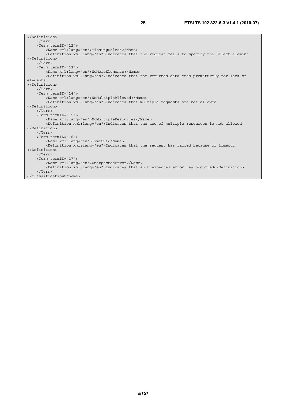| $\langle$ /Term>                                                                                      |
|-------------------------------------------------------------------------------------------------------|
| <term termid="12"></term>                                                                             |
| <name xml:lang="en">MissingSelect</name>                                                              |
| <definition xml:lang="en">Indicates that the request fails to specify the Select element</definition> |
|                                                                                                       |
| $\langle$ /Term>                                                                                      |
| <term termid="13"></term>                                                                             |
| <name xml:lang="en">NoMoreElements</name>                                                             |
| <definition xml:lanq="en">Indicates that the returned data ends prematurely for lack of</definition>  |
| elements.                                                                                             |
|                                                                                                       |
| $\langle$ Term>                                                                                       |
| <term termid="14"></term>                                                                             |
| <name xml:lang="en">NoMultipleAllowed</name>                                                          |
| <definition xml:lang="en">Indicates that multiple requests are not allowed</definition>               |
|                                                                                                       |
| $\langle$ Term>                                                                                       |
| <term termid="15"></term>                                                                             |
| <name xml:lang="en">NoMultipleResources</name>                                                        |
| <definition xml:lang="en">Indicates that the use of multiple resources is not allowed</definition>    |
|                                                                                                       |
| $\langle$ Term>                                                                                       |
| <term termid="16"></term>                                                                             |
| <name lang="en" xml:="">TimeOut</name>                                                                |
| <definition xml:lang="en">Indicates that the request has failed because of timeout.</definition>      |
|                                                                                                       |
| $\langle$ Term>                                                                                       |
| <term termid="17"></term>                                                                             |
| <name xml:lang="en">UnexpectedError</name>                                                            |
| <definition xml:lang="en">Indicates that an unexpected error has occurred</definition>                |
| $\langle$ Term>                                                                                       |
|                                                                                                       |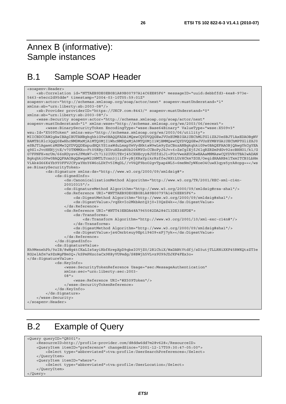# Annex B (informative): Sample instances

# B.1 Sample SOAP Header

```
<soapenv:Header> 
     <sb:Correlation id="NTTAEB9DE0EB0B1A89B00797A14C6EE85F6" messageID="uuid:debbffd3-4ea8-973e-
5463-e5ecc2d95dde" timestamp="2004-03-10T05:59:01Z" 
soapenv:actor="http://schemas.xmlsoap.org/soap/actor/next" soapenv:mustUnderstand="1" 
xmlns:sb="urn:liberty:sb:2003-08"/> 
     <sb:Provider providerID="https://UKCP.com:8443/" soapenv:mustUnderstand="0" 
xmlns:sb="urn:liberty:sb:2003-08"/> 
     <wsse:Security soapenv:actor="http://schemas.xmlsoap.org/soap/actor/next" 
soapenv:mustUnderstand="1" xmlns:wsse="http://schemas.xmlsoap.org/ws/2003/06/secext"> 
         <wsse:BinarySecurityToken EncodingType="wsse:Base64Binary" ValueType="wsse:X509v3" 
wsu:Id="X509Token" xmlns:wsu="http://schemas.xmlsoap.org/ws/2003/06/utility"> 
MIICBDCCAW2gAwIBAgIBUTANBgkqhkiG9w0BAQQFADA1MQswCQYDVQQGEwJVUzEUMBIGA1UEChMLTGliZXJ0eSBJT1AxEDAOBgNV
BAMTB1Rlc3QgQ0EwHhcNMDMxMjA1MTQ0MjI1WhcNMDQxMjA0MTQ0MjI1WjBMMQswCQYDVQQGEwJVUzEYMBYGA1UEChMPTGliZXJ0
eSBJT1AgamtzMSMwIQYDVQQDExpudHQtYS1zaWduLmxpYmVydHktaW9wLm9yZzCBnzANBgkqhkiG9w0BAQEFAAOBjQAwgYkCgYEA
q9Sl+JvcHKNjjtE/v70TKMMXo+Ft05RBy/XUruHZsuH0b206MYG+CCBoPyJ6Jv+6+ZsCgIEjfJ6lqRZRZmPdGv92zcBHHO1/k1/G
G7FPNFH+mrUm/66nRDysv6JFMzW7+Ct7132IUUiTEvj45CXHEcyy8JUffd1J1+FOrVweAEUCAwEAAaMNMAswCQYDVR0TBAIwADAN
BgkqhkiG9w0BAQQFAAOBgQBwqsW22HMTLTcxn3jiifP+yBjKRaYpikrRzffeJ8XtLUrHCkm7ZOX/OeqidHAARB4lTxmITCB3LbHm
ViAk4G66K4Yb9Y0FFVJCFyaYHnY6W6oLDkTv5IMqDL//vV6QF9boO2gvTpap4WL5+6meNmCyWKoeO4CuwX3qys5yrA8opg==</ws
se:BinarySecurityToken> 
         <ds:Signature xmlns:ds="http://www.w3.org/2000/09/xmldsig#"> 
             <ds:SignedInfo> 
                 <ds:CanonicalizationMethod Algorithm="http://www.w3.org/TR/2001/REC-xml-c14n- 
                 20010315"/> 
                 <ds:SignatureMethod Algorithm="http://www.w3.org/2000/09/xmldsig#rsa-sha1"/> 
                 <ds:Reference URI="#NTTAEB9DE0EB0B1A89B00797A14C6EE85F6"> 
                      <ds:DigestMethod Algorithm="http://www.w3.org/2000/09/xmldsig#sha1"/> 
                      <ds:DigestValue>/vqZkvIo2MkbAntQ3j0+I0QsZ4k=</ds:DigestValue> 
                 </ds:Reference> 
                 <ds:Reference URI="#NTT43EBDA48A7965082DA284C13DE33EFDE"> 
                     <ds:Transforms> 
                          <ds:Transform Algorithm="http://www.w3.org/2001/10/xml-exc-c14n#"/> 
                      </ds:Transforms> 
                      <ds:DigestMethod Algorithm="http://www.w3.org/2000/09/xmldsig#sha1"/> 
                      <ds:DigestValue>js4Cmrbteuy9Epti94O9+xFj7yk=</ds:DigestValue> 
                 </ds:Reference> 
             </ds:SignedInfo> 
             <ds:SignatureValue> 
Rh9MenehPh/9zIB/8wNg4tCKaLIs5ayiRbfKrepXpD9qbsIOVjZ0/2R1ChiX/WaDANtVtdfj/sD3utjTLLRNiXKF45RWKQtzZT3e
RG2elAfm7a9ZnWgFBm0Q+/kSPmPHzo3aCx9K8yVUPmdg/S8BWjh5VLvz9U99JDJKF4FEx3o= 
</ds:SignatureValue> 
             <ds:KeyInfo> 
                 <wsse:SecurityTokenReference Usage="sec:MessageAuthentication" 
                 xmlns:sec="urn:liberty:sec:2003- 
                 08"> 
                     <wsse:Reference URI="#X509Token"/> 
                 </wsse:SecurityTokenReference> 
             </ds:KeyInfo> 
         </ds:Signature> 
     </wsse:Security> 
</soapenv:Header>
```
# B.2 Example of Query

```
<Query queryID="QR001"> 
     <ResourceID>http://profile-provider.com/d8ddw6dd7m28v628</ResourceID> 
    <QueryItem itemID="preference" changedSince="2001-12-17T09:30:47-05:00"> 
         <Select type="abbreviated">tva:profile:UserSearchPreferences</Select> 
     </QueryItem> 
     <QueryItem itemID="where"> 
         <Select type="abbreviated">tva:profile:UserLocation</Select> 
     </QueryItem> 
</Query>
```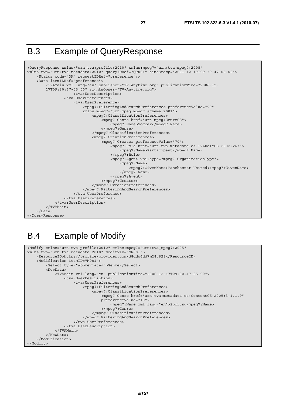# B.3 Example of QueryResponse



# B.4 Example of Modify

```
<Modify xmlns="urn:tva:profile:2010" xmlns:mpeg7="urn:tva_mpeg7:2005" 
xmlns:tva="urn:tva:metadata:2010" modifyID="MR001"> 
     <ResourceID>http://profile-provider.com/d8ddw6dd7m28v628</ResourceID> 
     <Modification itemID="M001"> 
         <Select type="abbreviated">Genre</Select> 
         <NewData> 
             <TVAMain xml:lang="en" publicationTime="2006-12-17T09:30:47-05:00"> 
                  <tva:UserDescription> 
                      <tva:UserPreferences> 
                          <mpeg7:FilteringAndSearchPreferences> 
                               <mpeg7:ClassificationPreferences> 
                                   <mpeg7:Genre href="urn:tva:metadata:cs:ContentCS:2005:3.1.1.9" 
                                   preferenceValue="10"> 
                                        <mpeg7:Name xml:lang="en">Sports</mpeg7:Name> 
                                   </mpeg7:Genre> 
                               </mpeg7:ClassificationPreferences> 
                           </mpeg7:FilteringAndSearchPreferences> 
                      </tva:UserPreferences> 
                  </tva:UserDescription> 
              </TVAMain> 
         </NewData> 
     </Modification> 
</Modify>
```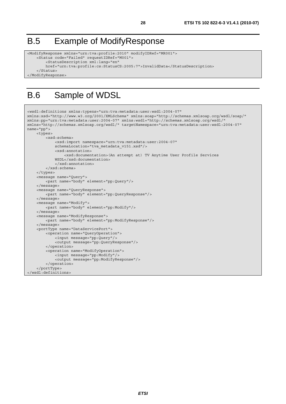# B.5 Example of ModifyResponse

```
<ModifyResponse xmlns="urn:tva:profile:2010" modifyIDRef="MR001"> 
     <Status code="Failed" requestIDRef="M001"> 
         <StatusDescription xml:lang="en" 
         href="urn:tva:profile:cs:StatusCS:2005:7">InvalidData</StatusDescription> 
     </Status> 
</ModifyResponse>
```
# B.6 Sample of WDSL

```
<wsdl:definitions xmlns:typens="urn:tva:metadata:user:wsdl:2004-07" 
xmlns:xsd="http://www.w3.org/2001/XMLSchema" xmlns:soap="http://schemas.xmlsoap.org/wsdl/soap/" 
xmlns:pp="urn:tva:metadata:user:2004-07" xmlns:wsdl="http://schemas.xmlsoap.org/wsdl/" 
xmlns="http://schemas.xmlsoap.org/wsdl/" targetNamespace="urn:tva:metadata:user:wsdl:2004-07" 
name="pp"> 
     <types> 
         <xsd:schema> 
             <xsd:import namespace="urn:tva:metadata:user:2004-07" 
             schemaLocation="tva_metadata_v151.xsd"/> 
             <xsd:annotation> 
                  <xsd:documentation>(An attempt at) TV Anytime User Profile Services 
             WSDL</xsd:documentation> 
              </xsd:annotation> 
         </xsd:schema> 
     </types> 
     <message name="Query"> 
         <part name="body" element="pp:Query"/> 
     </message> 
     <message name="QueryResponse"> 
         <part name="body" element="pp:QueryResponse"/> 
     </message> 
     <message name="Modify"> 
         <part name="body" element="pp:Modify"/> 
     </message> 
     <message name="ModifyResponse"> 
         <part name="body" element="pp:ModifyResponse"/> 
     </message> 
     <portType name="DataServicePort"> 
         <operation name="QueryOperation"> 
             <input message="pp:Query"/> 
              <output message="pp:QueryResponse"/> 
         </operation> 
         <operation name="ModifyOperation"> 
             <input message="pp:Modify"/> 
             <output message="pp:ModifyResponse"/> 
         </operation> 
     </portType> 
</wsdl:definitions>
```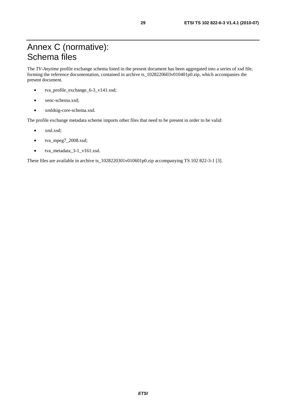# Annex C (normative): Schema files

The *TV-Anytime* profile exchange schema listed in the present document has been aggregated into a series of xsd file, forming the reference documentation, contained in archive ts\_1028220603v010401p0.zip, which accompanies the present document.

- tva\_profile\_exchange\_6-3\_v141.xsd;
- xenc-schema.xsd;
- xmldsig-core-schema.xsd.

The profile exchange metadata scheme imports other files that need to be present in order to be valid:

- xml.xsd;
- tva\_mpeg7\_2008.xsd;
- tva\_metadata\_3-1\_v161.xsd.

These files are available in archive ts\_1028220301v010601p0.zip accompanying TS 102 822-3-1 [3].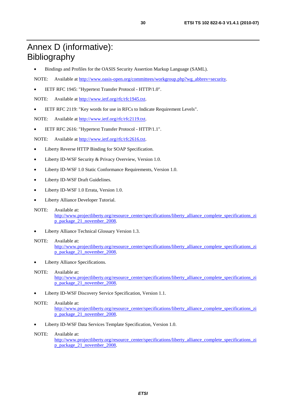# Annex D (informative): Bibliography

- Bindings and Profiles for the OASIS Security Assertion Markup Language (SAML).
- NOTE: Available at [http://www.oasis-open.org/committees/workgroup.php?wg\\_abbrev=security](http://www.oasis-open.org/committees/workgroup.php?wg_abbrev=security).
- IETF RFC 1945: "Hypertext Transfer Protocol HTTP/1.0".

NOTE: Available at [http://www.ietf.org/rfc/rfc1945.txt.](ftp://ftp.rfc-editor.org/in-notes/rfc1945.txt)

• IETF RFC 2119: "Key words for use in RFCs to Indicate Requirement Levels".

NOTE: Available at [http://www.ietf.org/rfc/rfc2119.txt.](http://www.ietf.org/rfc/rfc2119.txt)

• IETF RFC 2616: "Hypertext Transfer Protocol - HTTP/1.1".

NOTE: Available at [http://www.ietf.org/rfc/rfc2616.txt.](http://www.ietf.org/rfc/rfc2616.txt)

- Liberty Reverse HTTP Binding for SOAP Specification.
- Liberty ID-WSF Security & Privacy Overview, Version 1.0.
- Liberty ID-WSF 1.0 Static Conformance Requirements, Version 1.0.
- Liberty ID-WSF Draft Guidelines.
- Liberty ID-WSF 1.0 Errata, Version 1.0.
- Liberty Alliance Developer Tutorial.
- NOTE: Available at: [http://www.projectliberty.org/resource\\_center/specifications/liberty\\_alliance\\_complete\\_specifications\\_zi](http://www.projectliberty.org/resource_center/specifications/liberty_alliance_complete_specifications_zip_package_21_november_2008) [p\\_package\\_21\\_november\\_2008](http://www.projectliberty.org/resource_center/specifications/liberty_alliance_complete_specifications_zip_package_21_november_2008).
- Liberty Alliance Technical Glossary Version 1.3.

#### NOTE: Available at:

[http://www.projectliberty.org/resource\\_center/specifications/liberty\\_alliance\\_complete\\_specifications\\_zi](http://www.projectliberty.org/resource_center/specifications/liberty_alliance_complete_specifications_zip_package_21_november_2008) [p\\_package\\_21\\_november\\_2008](http://www.projectliberty.org/resource_center/specifications/liberty_alliance_complete_specifications_zip_package_21_november_2008).

Liberty Alliance Specifications.

#### NOTE: Available at:

[http://www.projectliberty.org/resource\\_center/specifications/liberty\\_alliance\\_complete\\_specifications\\_zi](http://www.projectliberty.org/resource_center/specifications/liberty_alliance_complete_specifications_zip_package_21_november_2008) [p\\_package\\_21\\_november\\_2008](http://www.projectliberty.org/resource_center/specifications/liberty_alliance_complete_specifications_zip_package_21_november_2008).

• Liberty ID-WSF Discovery Service Specification, Version 1.1.

#### NOTE: Available at:

[http://www.projectliberty.org/resource\\_center/specifications/liberty\\_alliance\\_complete\\_specifications\\_zi](http://www.projectliberty.org/resource_center/specifications/liberty_alliance_complete_specifications_zip_package_21_november_2008) [p\\_package\\_21\\_november\\_2008](http://www.projectliberty.org/resource_center/specifications/liberty_alliance_complete_specifications_zip_package_21_november_2008).

• Liberty ID-WSF Data Services Template Specification, Version 1.0.

#### NOTE: Available at:

[http://www.projectliberty.org/resource\\_center/specifications/liberty\\_alliance\\_complete\\_specifications\\_zi](http://www.projectliberty.org/resource_center/specifications/liberty_alliance_complete_specifications_zip_package_21_november_2008) [p\\_package\\_21\\_november\\_2008](http://www.projectliberty.org/resource_center/specifications/liberty_alliance_complete_specifications_zip_package_21_november_2008).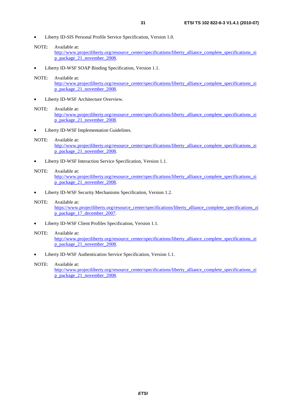NOTE: Available at:

[http://www.projectliberty.org/resource\\_center/specifications/liberty\\_alliance\\_complete\\_specifications\\_zi](http://www.projectliberty.org/resource_center/specifications/liberty_alliance_complete_specifications_zip_package_21_november_2008) [p\\_package\\_21\\_november\\_2008](http://www.projectliberty.org/resource_center/specifications/liberty_alliance_complete_specifications_zip_package_21_november_2008).

• Liberty ID-WSF SOAP Binding Specification, Version 1.1.

#### NOTE: Available at:

[http://www.projectliberty.org/resource\\_center/specifications/liberty\\_alliance\\_complete\\_specifications\\_zi](http://www.projectliberty.org/resource_center/specifications/liberty_alliance_complete_specifications_zip_package_21_november_2008) [p\\_package\\_21\\_november\\_2008](http://www.projectliberty.org/resource_center/specifications/liberty_alliance_complete_specifications_zip_package_21_november_2008).

Liberty ID-WSF Architecture Overview.

#### NOTE: Available at:

[http://www.projectliberty.org/resource\\_center/specifications/liberty\\_alliance\\_complete\\_specifications\\_zi](http://www.projectliberty.org/resource_center/specifications/liberty_alliance_complete_specifications_zip_package_21_november_2008) [p\\_package\\_21\\_november\\_2008](http://www.projectliberty.org/resource_center/specifications/liberty_alliance_complete_specifications_zip_package_21_november_2008).

Liberty ID-WSF Implementation Guidelines.

#### NOTE: Available at:

[http://www.projectliberty.org/resource\\_center/specifications/liberty\\_alliance\\_complete\\_specifications\\_zi](http://www.projectliberty.org/resource_center/specifications/liberty_alliance_complete_specifications_zip_package_21_november_2008) [p\\_package\\_21\\_november\\_2008](http://www.projectliberty.org/resource_center/specifications/liberty_alliance_complete_specifications_zip_package_21_november_2008).

• Liberty ID-WSF Interaction Service Specification, Version 1.1.

#### NOTE: Available at:

[http://www.projectliberty.org/resource\\_center/specifications/liberty\\_alliance\\_complete\\_specifications\\_zi](http://www.projectliberty.org/resource_center/specifications/liberty_alliance_complete_specifications_zip_package_21_november_2008) [p\\_package\\_21\\_november\\_2008](http://www.projectliberty.org/resource_center/specifications/liberty_alliance_complete_specifications_zip_package_21_november_2008).

• Liberty ID-WSF Security Mechanisms Specification, Version 1.2.

#### NOTE: Available at:

[https://www.projectliberty.org/resource\\_center/specifications/liberty\\_alliance\\_complete\\_specifications\\_zi](https://www.projectliberty.org/resource_center/specifications/liberty_alliance_complete_specifications_zip_package_17_december_2007) [p\\_package\\_17\\_december\\_2007](https://www.projectliberty.org/resource_center/specifications/liberty_alliance_complete_specifications_zip_package_17_december_2007).

• Liberty ID-WSF Client Profiles Specification, Version 1.1.

#### NOTE: Available at:

[http://www.projectliberty.org/resource\\_center/specifications/liberty\\_alliance\\_complete\\_specifications\\_zi](http://www.projectliberty.org/resource_center/specifications/liberty_alliance_complete_specifications_zip_package_21_november_2008) p\_package<sup>21\_</sup>november\_2008.

• Liberty ID-WSF Authentication Service Specification, Version 1.1.

#### NOTE: Available at:

[http://www.projectliberty.org/resource\\_center/specifications/liberty\\_alliance\\_complete\\_specifications\\_zi](http://www.projectliberty.org/resource_center/specifications/liberty_alliance_complete_specifications_zip_package_21_november_2008) [p\\_package\\_21\\_november\\_2008](http://www.projectliberty.org/resource_center/specifications/liberty_alliance_complete_specifications_zip_package_21_november_2008).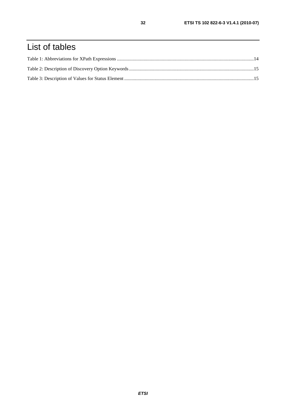# List of tables